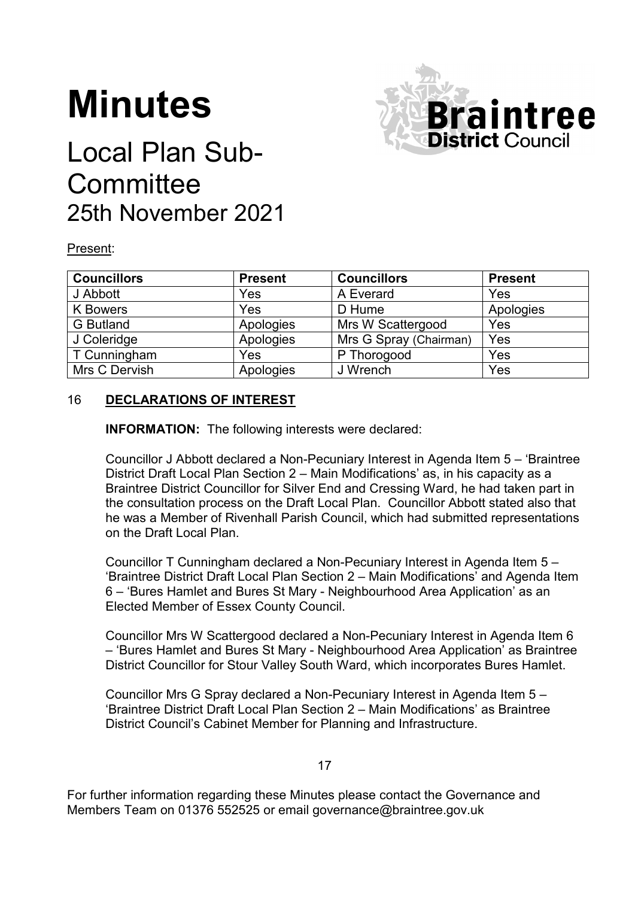# **Minutes**



# Local Plan Sub-**Committee** 25th November 2021

### Present:

| <b>Councillors</b> | <b>Present</b> | <b>Councillors</b>     | <b>Present</b> |
|--------------------|----------------|------------------------|----------------|
| J Abbott           | Yes            | A Everard              | Yes            |
| <b>K</b> Bowers    | Yes            | D Hume                 | Apologies      |
| <b>G</b> Butland   | Apologies      | Mrs W Scattergood      | Yes            |
| J Coleridge        | Apologies      | Mrs G Spray (Chairman) | Yes            |
| T Cunningham       | Yes            | P Thorogood            | Yes            |
| Mrs C Dervish      | Apologies      | J Wrench               | Yes            |

## 16 **DECLARATIONS OF INTEREST**

**INFORMATION:** The following interests were declared:

Councillor J Abbott declared a Non-Pecuniary Interest in Agenda Item 5 – 'Braintree District Draft Local Plan Section 2 – Main Modifications' as, in his capacity as a Braintree District Councillor for Silver End and Cressing Ward, he had taken part in the consultation process on the Draft Local Plan. Councillor Abbott stated also that he was a Member of Rivenhall Parish Council, which had submitted representations on the Draft Local Plan.

Councillor T Cunningham declared a Non-Pecuniary Interest in Agenda Item 5 – 'Braintree District Draft Local Plan Section 2 – Main Modifications' and Agenda Item 6 – 'Bures Hamlet and Bures St Mary - Neighbourhood Area Application' as an Elected Member of Essex County Council.

Councillor Mrs W Scattergood declared a Non-Pecuniary Interest in Agenda Item 6 – 'Bures Hamlet and Bures St Mary - Neighbourhood Area Application' as Braintree District Councillor for Stour Valley South Ward, which incorporates Bures Hamlet.

Councillor Mrs G Spray declared a Non-Pecuniary Interest in Agenda Item 5 – 'Braintree District Draft Local Plan Section 2 – Main Modifications' as Braintree District Council's Cabinet Member for Planning and Infrastructure.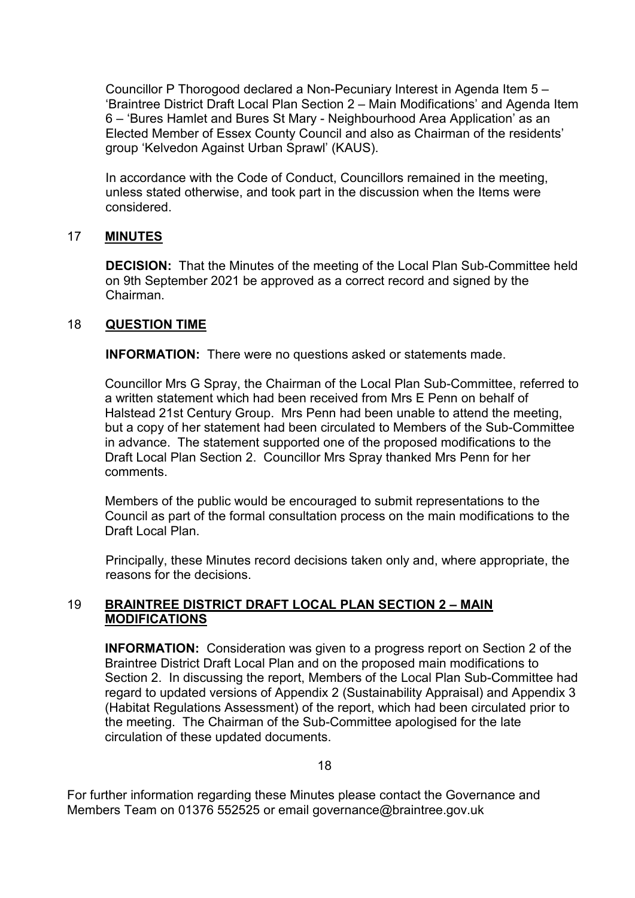Councillor P Thorogood declared a Non-Pecuniary Interest in Agenda Item 5 – 'Braintree District Draft Local Plan Section 2 – Main Modifications' and Agenda Item 6 – 'Bures Hamlet and Bures St Mary - Neighbourhood Area Application' as an Elected Member of Essex County Council and also as Chairman of the residents' group 'Kelvedon Against Urban Sprawl' (KAUS).

In accordance with the Code of Conduct, Councillors remained in the meeting, unless stated otherwise, and took part in the discussion when the Items were considered.

#### 17 **MINUTES**

**DECISION:** That the Minutes of the meeting of the Local Plan Sub-Committee held on 9th September 2021 be approved as a correct record and signed by the Chairman.

#### 18 **QUESTION TIME**

**INFORMATION:** There were no questions asked or statements made.

Councillor Mrs G Spray, the Chairman of the Local Plan Sub-Committee, referred to a written statement which had been received from Mrs E Penn on behalf of Halstead 21st Century Group. Mrs Penn had been unable to attend the meeting, but a copy of her statement had been circulated to Members of the Sub-Committee in advance. The statement supported one of the proposed modifications to the Draft Local Plan Section 2. Councillor Mrs Spray thanked Mrs Penn for her comments.

Members of the public would be encouraged to submit representations to the Council as part of the formal consultation process on the main modifications to the Draft Local Plan.

Principally, these Minutes record decisions taken only and, where appropriate, the reasons for the decisions.

#### 19 **BRAINTREE DISTRICT DRAFT LOCAL PLAN SECTION 2 – MAIN MODIFICATIONS**

**INFORMATION:** Consideration was given to a progress report on Section 2 of the Braintree District Draft Local Plan and on the proposed main modifications to Section 2. In discussing the report, Members of the Local Plan Sub-Committee had regard to updated versions of Appendix 2 (Sustainability Appraisal) and Appendix 3 (Habitat Regulations Assessment) of the report, which had been circulated prior to the meeting. The Chairman of the Sub-Committee apologised for the late circulation of these updated documents.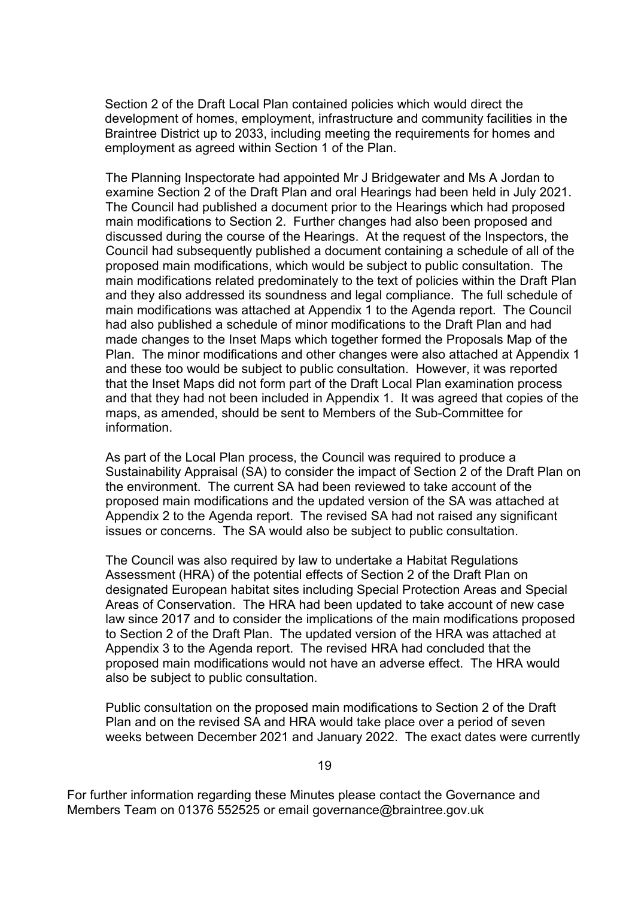Section 2 of the Draft Local Plan contained policies which would direct the development of homes, employment, infrastructure and community facilities in the Braintree District up to 2033, including meeting the requirements for homes and employment as agreed within Section 1 of the Plan.

The Planning Inspectorate had appointed Mr J Bridgewater and Ms A Jordan to examine Section 2 of the Draft Plan and oral Hearings had been held in July 2021. The Council had published a document prior to the Hearings which had proposed main modifications to Section 2. Further changes had also been proposed and discussed during the course of the Hearings. At the request of the Inspectors, the Council had subsequently published a document containing a schedule of all of the proposed main modifications, which would be subject to public consultation. The main modifications related predominately to the text of policies within the Draft Plan and they also addressed its soundness and legal compliance. The full schedule of main modifications was attached at Appendix 1 to the Agenda report. The Council had also published a schedule of minor modifications to the Draft Plan and had made changes to the Inset Maps which together formed the Proposals Map of the Plan. The minor modifications and other changes were also attached at Appendix 1 and these too would be subject to public consultation. However, it was reported that the Inset Maps did not form part of the Draft Local Plan examination process and that they had not been included in Appendix 1. It was agreed that copies of the maps, as amended, should be sent to Members of the Sub-Committee for information.

As part of the Local Plan process, the Council was required to produce a Sustainability Appraisal (SA) to consider the impact of Section 2 of the Draft Plan on the environment. The current SA had been reviewed to take account of the proposed main modifications and the updated version of the SA was attached at Appendix 2 to the Agenda report. The revised SA had not raised any significant issues or concerns. The SA would also be subject to public consultation.

The Council was also required by law to undertake a Habitat Regulations Assessment (HRA) of the potential effects of Section 2 of the Draft Plan on designated European habitat sites including Special Protection Areas and Special Areas of Conservation. The HRA had been updated to take account of new case law since 2017 and to consider the implications of the main modifications proposed to Section 2 of the Draft Plan. The updated version of the HRA was attached at Appendix 3 to the Agenda report. The revised HRA had concluded that the proposed main modifications would not have an adverse effect. The HRA would also be subject to public consultation.

Public consultation on the proposed main modifications to Section 2 of the Draft Plan and on the revised SA and HRA would take place over a period of seven weeks between December 2021 and January 2022. The exact dates were currently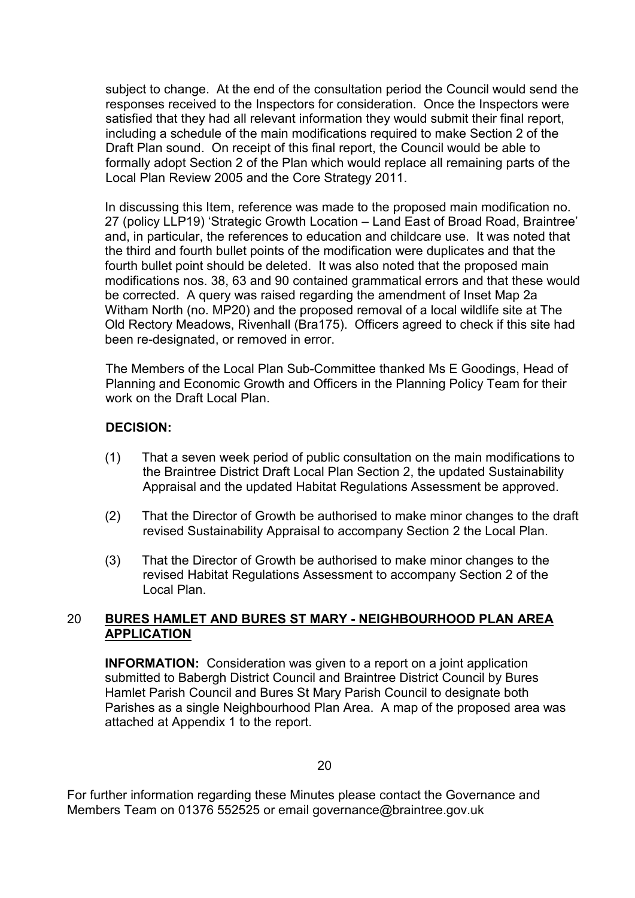subject to change. At the end of the consultation period the Council would send the responses received to the Inspectors for consideration. Once the Inspectors were satisfied that they had all relevant information they would submit their final report, including a schedule of the main modifications required to make Section 2 of the Draft Plan sound. On receipt of this final report, the Council would be able to formally adopt Section 2 of the Plan which would replace all remaining parts of the Local Plan Review 2005 and the Core Strategy 2011.

In discussing this Item, reference was made to the proposed main modification no. 27 (policy LLP19) 'Strategic Growth Location – Land East of Broad Road, Braintree' and, in particular, the references to education and childcare use. It was noted that the third and fourth bullet points of the modification were duplicates and that the fourth bullet point should be deleted. It was also noted that the proposed main modifications nos. 38, 63 and 90 contained grammatical errors and that these would be corrected. A query was raised regarding the amendment of Inset Map 2a Witham North (no. MP20) and the proposed removal of a local wildlife site at The Old Rectory Meadows, Rivenhall (Bra175). Officers agreed to check if this site had been re-designated, or removed in error.

The Members of the Local Plan Sub-Committee thanked Ms E Goodings, Head of Planning and Economic Growth and Officers in the Planning Policy Team for their work on the Draft Local Plan.

#### **DECISION:**

- (1) That a seven week period of public consultation on the main modifications to the Braintree District Draft Local Plan Section 2, the updated Sustainability Appraisal and the updated Habitat Regulations Assessment be approved.
- (2) That the Director of Growth be authorised to make minor changes to the draft revised Sustainability Appraisal to accompany Section 2 the Local Plan.
- (3) That the Director of Growth be authorised to make minor changes to the revised Habitat Regulations Assessment to accompany Section 2 of the Local Plan.

#### 20 **BURES HAMLET AND BURES ST MARY - NEIGHBOURHOOD PLAN AREA APPLICATION**

**INFORMATION:** Consideration was given to a report on a joint application submitted to Babergh District Council and Braintree District Council by Bures Hamlet Parish Council and Bures St Mary Parish Council to designate both Parishes as a single Neighbourhood Plan Area. A map of the proposed area was attached at Appendix 1 to the report.